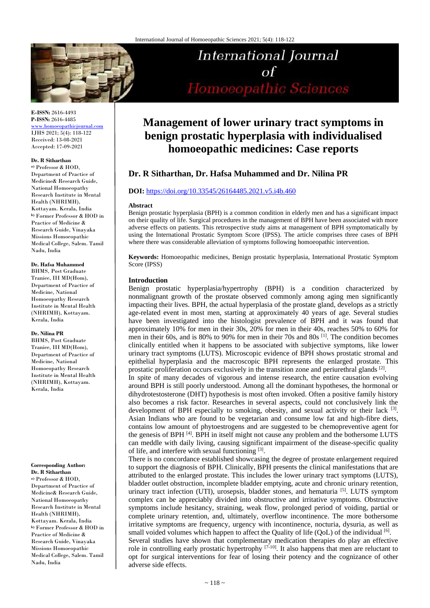

**E-ISSN:** 2616-4493 **P-ISSN:** 2616-4485

[www.homoeopathicjournal.com](file://Server/test/homoeopathicjournal/issue/vol%204/issue%201/www.homoeopathicjournal.com) IJHS 2021; 5(4): 118-122 Received: 13-08-2021 Accepted: 17-09-2021

#### **Dr. R Sitharthan**

**a)** Professor & HOD, Department of Practice of Medicine& Research Guide, National Homoeopathy Research Institute in Mental Health (NHRIMH), Kottayam. Kerala, India **b)** Former Professor & HOD in Practice of Medicine & Research Guide, Vinayaka Missions Homoeopathic Medical College, Salem. Tamil Nadu, India

**Dr. Hafsa Muhammed** BHMS, Post Graduate

Traniee, III MD(Hom), Department of Practice of Medicine, National Homoeopathy Research Institute in Mental Health (NHRIMH), Kottayam. Kerala, India

#### **Dr. Nilina PR**

BHMS, Post Graduate Traniee, III MD(Hom), Department of Practice of Medicine, National Homoeopathy Research Institute in Mental Health (NHRIMH), Kottayam. Kerala, India

### **Corresponding Author:**

**Dr. R Sitharthan a)** Professor & HOD, Department of Practice of Medicine& Research Guide, National Homoeopathy Research Institute in Mental Health (NHRIMH), Kottayam. Kerala, India **b)** Former Professor & HOD in Practice of Medicine & Research Guide, Vinayaka Missions Homoeopathic Medical College, Salem. Tamil Nadu, India

# **International Journal**  $\sigma$ f Homoeopathic Sciences

# **Management of lower urinary tract symptoms in benign prostatic hyperplasia with individualised homoeopathic medicines: Case reports**

## **Dr. R Sitharthan, Dr. Hafsa Muhammed and Dr. Nilina PR**

#### **DOI:** <https://doi.org/10.33545/26164485.2021.v5.i4b.460>

#### **Abstract**

Benign prostatic hyperplasia (BPH) is a common condition in elderly men and has a significant impact on their quality of life. Surgical procedures in the management of BPH have been associated with more adverse effects on patients. This retrospective study aims at management of BPH symptomatically by using the International Prostatic Symptom Score (IPSS). The article comprises three cases of BPH where there was considerable alleviation of symptoms following homoeopathic intervention.

**Keywords:** Homoeopathic medicines, Benign prostatic hyperplasia, International Prostatic Symptom Score (IPSS)

#### **Introduction**

Benign prostatic hyperplasia/hypertrophy (BPH) is a condition characterized by nonmalignant growth of the prostate observed commonly among aging men significantly impacting their lives. BPH, the actual hyperplasia of the prostate gland, develops as a strictly age-related event in most men, starting at approximately 40 years of age. Several studies have been investigated into the histologist prevalence of BPH and it was found that approximately 10% for men in their 30s, 20% for men in their 40s, reaches 50% to 60% for men in their 60s, and is 80% to 90% for men in their 70s and 80s [1] . The condition becomes clinically entitled when it happens to be associated with subjective symptoms, like lower urinary tract symptoms (LUTS). Microscopic evidence of BPH shows prostatic stromal and epithelial hyperplasia and the macroscopic BPH represents the enlarged prostate. This prostatic proliferation occurs exclusively in the transition zone and periurethral glands  $[2]$ .

In spite of many decades of vigorous and intense research, the entire causation evolving around BPH is still poorly understood. Among all the dominant hypotheses, the hormonal or dihydrotestosterone (DHT) hypothesis is most often invoked. Often a positive family history also becomes a risk factor. Researches in several aspects, could not conclusively link the development of BPH especially to smoking, obesity, and sexual activity or their lack [3]. Asian Indians who are found to be vegetarian and consume low fat and high-fibre diets, contains low amount of phytoestrogens and are suggested to be chemopreventive agent for the genesis of BPH <sup>[4]</sup>. BPH in itself might not cause any problem and the bothersome LUTS can meddle with daily living, causing significant impairment of the disease-specific quality of life, and interfere with sexual functioning [3].

There is no concordance established showcasing the degree of prostate enlargement required to support the diagnosis of BPH. Clinically, BPH presents the clinical manifestations that are attributed to the enlarged prostate. This includes the lower urinary tract symptoms (LUTS), bladder outlet obstruction, incomplete bladder emptying, acute and chronic urinary retention, urinary tract infection (UTI), urosepsis, bladder stones, and hematuria<sup>[5]</sup>. LUTS symptom complex can be appreciably divided into obstructive and irritative symptoms. Obstructive symptoms include hesitancy, straining, weak flow, prolonged period of voiding, partial or complete urinary retention, and, ultimately, overflow incontinence. The more bothersome irritative symptoms are frequency, urgency with incontinence, nocturia, dysuria, as well as small voided volumes which happen to affect the Quality of life  $(QoL)$  of the individual [6]. Several studies have shown that complementary medication therapies do play an effective role in controlling early prostatic hypertrophy [7-10]. It also happens that men are reluctant to opt for surgical interventions for fear of losing their potency and the cognizance of other adverse side effects.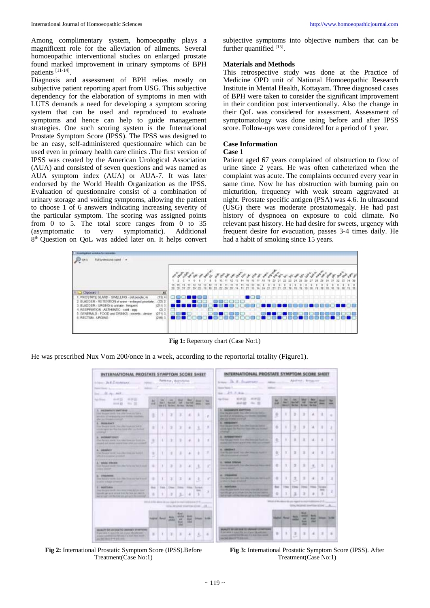Among complimentary system, homoeopathy plays a magnificent role for the alleviation of ailments. Several homoeopathic interventional studies on enlarged prostate found marked improvement in urinary symptoms of BPH patients [11-14] .

Diagnosis and assessment of BPH relies mostly on subjective patient reporting apart from USG. This subjective dependency for the elaboration of symptoms in men with LUTS demands a need for developing a symptom scoring system that can be used and reproduced to evaluate symptoms and hence can help to guide management strategies. One such scoring system is the International Prostate Symptom Score (IPSS). The IPSS was designed to be an easy, self-administered questionnaire which can be used even in primary health care clinics .The first version of IPSS was created by the American Urological Association (AUA) and consisted of seven questions and was named as AUA symptom index (AUA) or AUA-7. It was later endorsed by the World Health Organization as the IPSS. Evaluation of questionnaire consist of a combination of urinary storage and voiding symptoms, allowing the patient to choose 1 of 6 answers indicating increasing severity of the particular symptom. The scoring was assigned points from 0 to 5. The total score ranges from 0 to 35 (asymptomatic to very symptomatic). Additional 8<sup>th</sup> Question on QoL was added later on. It helps convert subjective symptoms into objective numbers that can be further quantified [15].

#### **Materials and Methods**

This retrospective study was done at the Practice of Medicine OPD unit of National Homoeopathic Research Institute in Mental Health, Kottayam. Three diagnosed cases of BPH were taken to consider the significant improvement in their condition post interventionally. Also the change in their QoL was considered for assessment. Assessment of symptomatology was done using before and after IPSS score. Follow-ups were considered for a period of 1 year.

#### **Case Information**

#### **Case 1**

Patient aged 67 years complained of obstruction to flow of urine since 2 years. He was often catheterized when the complaint was acute. The complaints occurred every year in same time. Now he has obstruction with burning pain on micturition, frequency with weak stream aggravated at night. Prostate specific antigen (PSA) was 4.6. In ultrasound (USG) there was moderate prostatomegaly. He had past history of dyspnoea on exposure to cold climate. No relevant past history. He had desire for sweets, urgency with frequent desire for evacuation, passes 3-4 times daily. He had a habit of smoking since 15 years.



**Fig 1:** Repertory chart (Case No:1)

He was prescribed Nux Vom 200/once in a week, according to the reportorial totality (Figure1).

| INTERNATIONAL PROSTATE SYMPTOM SCORE SHEET                                                                                                                                                              |                   |                           |                                                                             |                                                                  |                                       |                                                                                             |                                      | INTERNATIONAL PROSTATE SYMPTOM SCORE SHEET                                                                                                                                               |                                                              |                                       |                        |                                                                          |                     |                           |                |
|---------------------------------------------------------------------------------------------------------------------------------------------------------------------------------------------------------|-------------------|---------------------------|-----------------------------------------------------------------------------|------------------------------------------------------------------|---------------------------------------|---------------------------------------------------------------------------------------------|--------------------------------------|------------------------------------------------------------------------------------------------------------------------------------------------------------------------------------------|--------------------------------------------------------------|---------------------------------------|------------------------|--------------------------------------------------------------------------|---------------------|---------------------------|----------------|
| Authors, Australian<br>In cases - Dr. B. J. (1964) (1964)                                                                                                                                               |                   |                           |                                                                             |                                                                  |                                       | Alleithical - Bertraurent-<br>temporally E. Evanturer.                                      |                                      |                                                                                                                                                                                          |                                                              |                                       |                        |                                                                          |                     |                           |                |
| Name Officers 1.                                                                                                                                                                                        | <b>STATISTICS</b> |                           |                                                                             |                                                                  |                                       |                                                                                             |                                      | Search Market 1.                                                                                                                                                                         |                                                              |                                       |                        |                                                                          |                     |                           |                |
| line: 10 mp., milk                                                                                                                                                                                      |                   |                           |                                                                             |                                                                  |                                       |                                                                                             |                                      | No. 25. F. B.D.                                                                                                                                                                          |                                                              |                                       |                        |                                                                          |                     |                           |                |
| mot to<br>495 276 222<br>Age (Friday)<br>more air.<br><b>COLLEGE</b>                                                                                                                                    | $\sim$<br>$-11$   | <b>SALE</b>               | <b>SHEET</b><br>No. 1, No. 147<br>tion to 5.2 No long 2 Hy tinut. The tired | <b>Market</b><br><b>Safe</b>                                     | <b>MAIL</b><br><b>Started</b>         | <b>Street</b><br><b>Band</b>                                                                | -<br><b>SHOW</b>                     | 4144722<br>ALC UV<br><b>Ball Street</b><br><b>WARNER</b><br>$-200 - 20$                                                                                                                  | w<br>--                                                      | <b>The Corporation</b><br><b>Bart</b> | <b>District Co.</b>    | Am .- 3 Mod'll Motel<br><b>Sept.</b><br><b>MAAI Raffer Bridge By Rog</b> | Use at:             | $-$                       | m              |
| 1. Institute of the United<br>THE RAINFORCE IN 1990 THE CONTRACTOR<br>and state of two standarding year \$1000ml consultants.<br>after your \$1,0000 constraint.                                        | в                 |                           | э                                                                           | Ï                                                                | ٠                                     |                                                                                             | n                                    | <b>S. Become o'll derivered.</b><br>They be gree and it has what a new tached and<br>president of Advanced by their Martins Continued<br><b>Participate and Alaska</b>                   | ×                                                            | ٠                                     | ×                      | э                                                                        |                     | ٠                         |                |
| E HABIENTS<br>tive We are much. Not offer hand our load in<br>which ages are the low land after on fielded<br><b>COMPANY</b>                                                                            | ٠                 |                           | э                                                                           | э                                                                | ٠                                     | 3                                                                                           | ٠                                    | <b>S. SEEGHEET</b><br>that begin just built him the teacher better<br>article hand, my first two base officers, money<br>-                                                               | ö                                                            | ٠                                     | u                      | э                                                                        | ж                   | з                         |                |
| IL GUIDEATI ISSUE?<br>Final Ray and Adults: Now Adult Store cars Scott Line.<br>must ad more ware than the amount<br>---                                                                                | к                 | ٠                         | э                                                                           | x                                                                | ×                                     |                                                                                             | $\equiv$                             | A MODERN PRINTY<br>That Racial Hold, Ariz MacAntrian Ford, Ar-<br>dealer will look a pick that it block collect.                                                                         | ×                                                            | ٠                                     | ÷                      | ×                                                                        |                     | ×                         | ٠              |
| A. DRIAMOT<br>Fig. by any racing Autocher research and<br>affects to a sum of all results of                                                                                                            | ٠<br>$\sim$       |                           | з                                                                           | z                                                                | ×                                     | ÷                                                                                           | ٠                                    | <b>A. HANGHIT</b><br>to at the state month beam other three state functions<br><b>Shirt Commercial Avenue Co.</b>                                                                        | $\alpha$                                                     | з                                     | x                      | ×                                                                        |                     | п                         | ٠              |
| <b>CARD COMPANY AND INCOME.</b><br>A WORK EIGHAN<br>South West painting party of this policy For Far room Work By Alan Al-<br><b>CONTRACTOR</b>                                                         | ٠                 | ٠                         | э                                                                           | x                                                                |                                       | з                                                                                           |                                      | G. WEAR STRAIGH<br>State Mot and Auction State Advertising and Andrew Health<br><b>CONTRACT</b>                                                                                          | ÷                                                            | ٠                                     | ä                      | ×                                                                        | 准                   | ٠                         |                |
| a cause of<br>The first structured than 1980 The countries in such<br>all products for higher animational construction                                                                                  | ٠                 |                           | э                                                                           | $\mathbb I$                                                      | ٠                                     | 3                                                                                           | ÷                                    | <b>A. PRODUCE</b><br>The district med. They also see an exchange<br>a state to have a habital                                                                                            | ٠                                                            | ٠                                     | э                      | э                                                                        | ×                   | ٠                         | э              |
| CALL ALAN COMMUNIST<br><b>S. MONTONIA</b><br>That the provident Arts drive trace for the first<br>to built per a la scraal trat factore no craces.<br>we've sall you'd a true you give it the entropy   | <b>Boat</b><br>٠  | 1 local 1                 | 1 Ellison   Baltimore                                                       | 工                                                                | <b>STEWART</b><br>٠                   | <b>Territori</b><br><b>STATE</b><br>s                                                       | 3                                    | <b>E. MONTANA</b><br>from the last lately have seen them the second<br>sent alla gen ai la collada forta del fras anci castro.<br>and an auto sold the way of an in the second           | <b>Board</b><br>٠                                            |                                       | 1 Nov. 2 9 Nov.        | э                                                                        | Dillow T Ridge<br>٠ | <b>Tel:AG</b><br>$-$<br>з |                |
|                                                                                                                                                                                                         |                   |                           |                                                                             |                                                                  |                                       | SEE ALA RIS AREA de sus regedi la risalizada esta STR<br>to be related to activate the con- |                                      |                                                                                                                                                                                          | Which of the descending to regard to copyrights prove at the |                                       |                        | DIN, MODAE DAVIDA STOC  B.                                               |                     |                           |                |
|                                                                                                                                                                                                         |                   | <b><i>Island Rend</i></b> | Milk<br><b>ARANT</b>                                                        | <b>Black</b><br><b>USA Fue</b><br><b>ME</b><br><b>Black</b><br>m | ALC U<br><b>Black</b><br><b>Hotel</b> |                                                                                             | <b><i><u>Delaware</u></i></b> Rodrig |                                                                                                                                                                                          |                                                              | <b><i><u>Additional</u></i></b>       | <b>Ballie</b><br>ست    | <b>Book</b><br><b>MARKET</b><br><b>Hotel</b><br><b>HALL</b>              | -<br>-<br>-         | <b>SHOW:</b>              | <b>Service</b> |
| Mindsolinh Sat Lond and TKD (Jacobally ST/MITERAL)<br>Water lines to make the last of your life with which<br>acked construct for Manager is a sixt, here would<br>and their should be the plate state. | ٠                 |                           | з                                                                           | ж                                                                | ÷                                     | Б                                                                                           | ٠                                    | BEAUTY 12 UPS FOR TO UNITED STATES OF<br>It can write it speed the larged your telescott states<br>proved and their first fills and, if is done than second<br>an but more to this line. | ٠                                                            | ٠                                     | $\mathbb{R}$<br>$\sim$ | $\rightarrow$                                                            | ×                   | э                         |                |

**Fig 2:** International Prostatic Symptom Score (IPSS).Before Treatment(Case No:1)

**Fig 3:** International Prostatic Symptom Score (IPSS). After Treatment(Case No:1)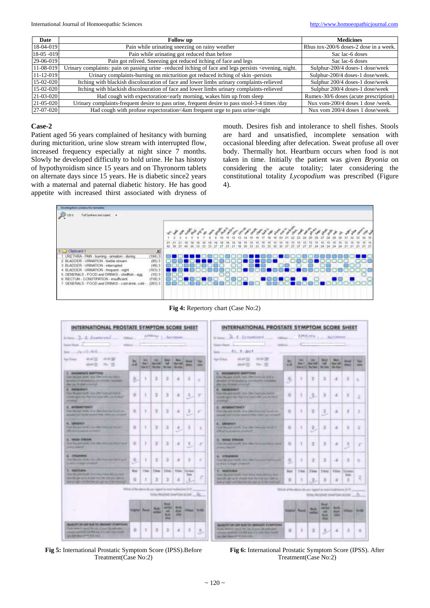| Date            | <b>Follow</b> up                                                                                                                                                    | <b>Medicines</b>                       |
|-----------------|---------------------------------------------------------------------------------------------------------------------------------------------------------------------|----------------------------------------|
| 18-04-019       | Pain while urinating sneezing on rainy weather                                                                                                                      | Rhus tox-200/6 doses-2 dose in a week. |
| $18-05-019$     | Pain while urinating got reduced than before                                                                                                                        | Sac lac-6 doses                        |
| 29-06-019       | Pain got relived. Sneezing got reduced itching of face and legs                                                                                                     | Sac lac-6 doses                        |
| 11-08-019       | Urinary complaints: pain on passing urine –reduced itching of face and legs persists <evening, night.<="" th=""><th>Sulphur-200/4 doses-1 dose/week</th></evening,> | Sulphur-200/4 doses-1 dose/week        |
| 11-12-019       | Urinary complaints-burning on micturition got reduced itching of skin-persists                                                                                      | Sulphur-200/4 doses-1 dose/week.       |
| 15-02-020       | Itching with blackish discolouration of face and lower limbs urinary complaints-relieved                                                                            | Sulphur 200/4 doses-1 dose/week        |
| $15-02-020$     | Itching with blackish discolouration of face and lower limbs urinary complaints-relieved                                                                            | Sulphur 200/4 doses-1 dose/week        |
| $21 - 03 - 020$ | Had cough with expectoration <early from="" him="" morning,="" sleep<="" th="" up="" wakes=""><th>Rumex-30/6 doses (acute prescription)</th></early>                | Rumex-30/6 doses (acute prescription)  |
| 21-05-020       | Urinary complaints-frequent desire to pass urine, frequent desire to pass stool-3-4 times /day                                                                      | Nux vom-200/4 doses 1 dose /week.      |
| 27-07-020       | Had cough with profuse expectoration<4am frequent urge to pass urine <night< td=""><td>Nux vom 200/4 doses 1 dose/week.</td></night<>                               | Nux vom 200/4 doses 1 dose/week.       |

#### **Case-2**

Patient aged 56 years complained of hesitancy with burning during micturition, urine slow stream with interrupted flow, increased frequency especially at night since 7 months. Slowly he developed difficulty to hold urine. He has history of hypothyroidism since 15 years and on Thyronorm tablets on alternate days since 15 years. He is diabetic since2 years with a maternal and paternal diabetic history. He has good appetite with increased thirst associated with dryness of

mouth. Desires fish and intolerance to shell fishes. Stools are hard and unsatisfied, incomplete sensation with occasional bleeding after defecation. Sweat profuse all over body. Thermally hot. Heartburn occurs when food is not taken in time. Initially the patient was given *Bryonia* on considering the acute totality; later considering the constitutional totality *Lycopodium* was prescribed (Figure 4).



INTERNATIONAL PROSTATE SYMPTOM SCORE SHEET INTERNATIONAL PROSTATE SYMPTOM SCORE SHEET APODIAL ...  $B.1.21m$  $2.2.4$ **Kultive** is a  $41.3.401$ Jan Frank abat (S) **MAP 23** as at 25 × ä  $\theta$ ä  $\overline{1}$ × ò ä ä ä ï ä × ä ï ä  $\circ$ ¥ ä, ä à ä E ă 3 ٠ ž ä ï ż ä s. ø ì ä 固 s ä 7 á s ä ä ä ö ¥ ä ä ä ä ä ×  $\lambda$ ä ¥  $\overline{0}$ ł,  $\mathbb{R}$  $\circ$ Y. ä ä **x** ä 3 ä 3 ż × ė  $\mathbf{z}$  $\overline{9}$ ä ï E s ë t ä 3 × Nos i in i. 1 feb Tim The ۹ ö ä ö  $\overline{3}$ ÷ ۱ ö × a ä  $\circ$  $\ddot{a}$ 3 × ä đ

**Fig 4:** Repertory chart (Case No:2)



**Fig 6:** International Prostatic Symptom Score (IPSS). After Treatment(Case No:2)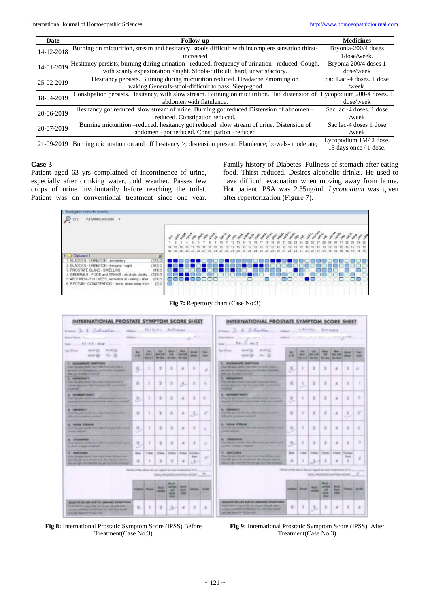| Date       | <b>Follow-up</b>                                                                                                                   | <b>Medicines</b>         |
|------------|------------------------------------------------------------------------------------------------------------------------------------|--------------------------|
| 14-12-2018 | Burning on micturition, stream and hesitancy. stools difficult with incomplete sensation thirst-                                   | Bryonia-200/4 doses      |
|            | increased                                                                                                                          | 1dose/week.              |
| 14-01-2019 | Hesitancy persists, burning during urination -reduced. frequency of urination -reduced. Cough,                                     | Bryonia 200/4 doses 1    |
|            | with scanty expextoration <night. hard,="" stools-difficult,="" td="" unsatisfactory.<=""><td>dose/week</td></night.>              | dose/week                |
| 25-02-2019 | Hesitancy persists. Burning during micturition reduced. Headache <morning on<="" td=""><td>Sac Lac -4 doses, 1 dose</td></morning> | Sac Lac -4 doses, 1 dose |
|            | waking.Generals-stool-difficult to pass. Sleep-good                                                                                | /week.                   |
| 18-04-2019 | Constipation persists. Hesitancy, with slow stream. Burning on micturition. Had distension of Lycopodium 200-4 doses. 1            |                          |
|            | abdomen with flatulence.                                                                                                           | dose/week                |
| 20-06-2019 | Hesitancy got reduced. slow stream of urine. Burning got reduced Distension of abdomen -                                           | Sac lac -4 doses. 1 dose |
|            | reduced. Constipation reduced.                                                                                                     | /week                    |
| 20-07-2019 | Burning micturition -reduced. hesitancy got reduced. slow stream of urine. Distension of                                           | Sac lac-4 doses 1 dose   |
|            | abdomen –got reduced. Constipation –reduced                                                                                        | /week                    |
| 21-09-2019 | Burning micturation on and off hesitancy >; distension present; Flatulence; bowels- moderate;                                      | Lycopodium 1M/2 dose.    |
|            |                                                                                                                                    | 15 days once / 1 dose.   |

#### **Case-3**

Patient aged 63 yrs complained of incontinence of urine, especially after drinking water, cold weather. Passes few drops of urine involuntarily before reaching the toilet. Patient was on conventional treatment since one year. Family history of Diabetes. Fullness of stomach after eating food. Thirst reduced. Desires alcoholic drinks. He used to have difficult evacuation when moving away from home. Hot patient. PSA was 2.35ng/ml*. Lycopodium* was given after repertorization (Figure 7).



**Fig 7:** Repertory chart (Case No:3)





**Fig 9:** International Prostatic Symptom Score (IPSS). After Treatment(Case No:3)